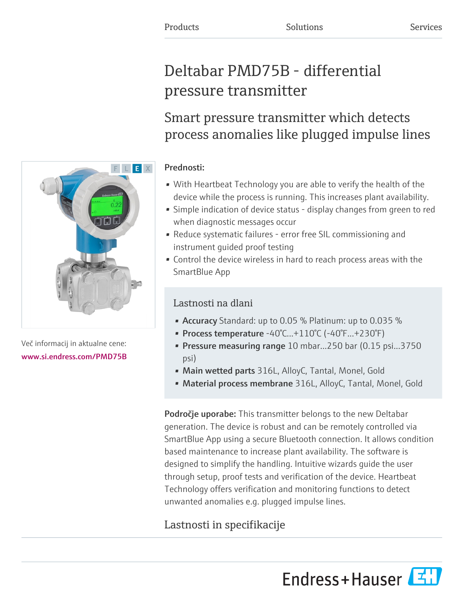# Deltabar PMD75B - differential pressure transmitter

# Smart pressure transmitter which detects process anomalies like plugged impulse lines

### Prednosti:

- With Heartbeat Technology you are able to verify the health of the device while the process is running. This increases plant availability.
- Simple indication of device status display changes from green to red when diagnostic messages occur
- Reduce systematic failures error free SIL commissioning and instrument guided proof testing
- Control the device wireless in hard to reach process areas with the SmartBlue App

## Lastnosti na dlani

- Accuracy Standard: up to 0.05 % Platinum: up to 0.035 %
- Process temperature -40°C...+110°C (-40°F...+230°F)
- Pressure measuring range 10 mbar...250 bar (0.15 psi...3750 psi)
- Main wetted parts 316L, AlloyC, Tantal, Monel, Gold
- Material process membrane 316L, AlloyC, Tantal, Monel, Gold

**Področje uporabe:** This transmitter belongs to the new Deltabar generation. The device is robust and can be remotely controlled via SmartBlue App using a secure Bluetooth connection. It allows condition based maintenance to increase plant availability. The software is designed to simplify the handling. Intuitive wizards guide the user through setup, proof tests and verification of the device. Heartbeat Technology offers verification and monitoring functions to detect unwanted anomalies e.g. plugged impulse lines.

## Lastnosti in specifikacije





Več informacij in aktualne cene: [www.si.endress.com/PMD75B](https://www.si.endress.com/PMD75B)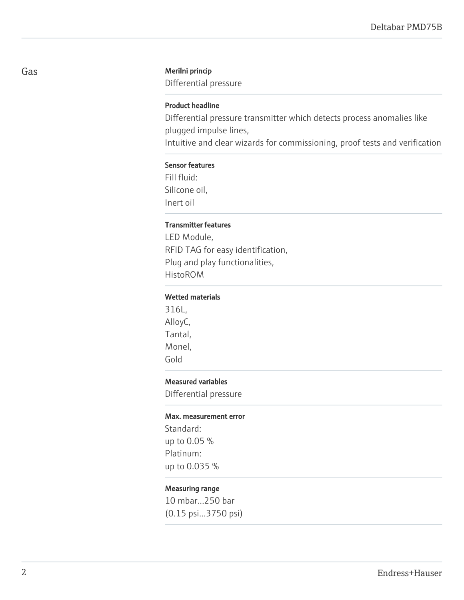### Gas Merilni princip

Differential pressure

### Product headline

Differential pressure transmitter which detects process anomalies like plugged impulse lines,

Intuitive and clear wizards for commissioning, proof tests and verification

#### Sensor features

Fill fluid: Silicone oil, Inert oil

#### Transmitter features

LED Module, RFID TAG for easy identification, Plug and play functionalities, HistoROM

### Wetted materials

316L, AlloyC, Tantal, Monel, Gold

### Measured variables

Differential pressure

#### Max. measurement error

Standard: up to 0.05 % Platinum: up to 0.035 %

#### Measuring range

10 mbar...250 bar (0.15 psi...3750 psi)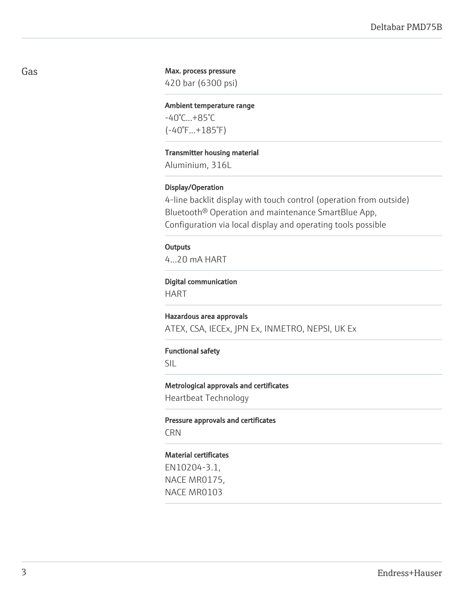### Max. process pressure

420 bar (6300 psi)

Ambient temperature range -40°C...+85°C (-40°F...+185°F)

Transmitter housing material

Aluminium, 316L

### Display/Operation

4-line backlit display with touch control (operation from outside) Bluetooth® Operation and maintenance SmartBlue App, Configuration via local display and operating tools possible

### **Outputs**

4...20 mA HART

#### Digital communication

HART

#### Hazardous area approvals

ATEX, CSA, IECEx, JPN Ex, INMETRO, NEPSI, UK Ex

### Functional safety

SIL

#### Metrological approvals and certificates

Heartbeat Technology

Pressure approvals and certificates CRN

#### Material certificates

EN10204-3.1, NACE MR0175, NACE MR0103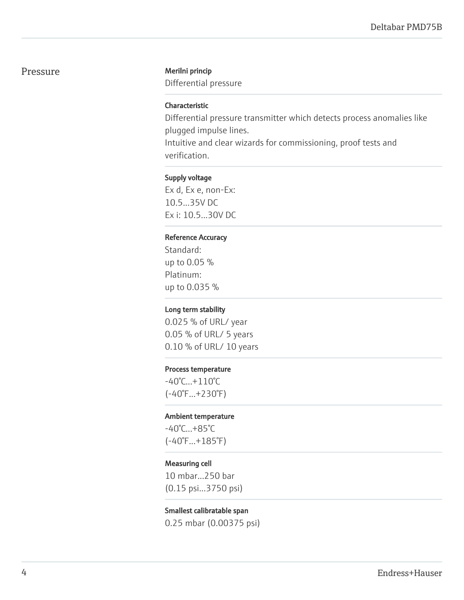### Pressure Merilni princip

Differential pressure

### Characteristic

Differential pressure transmitter which detects process anomalies like plugged impulse lines.

Intuitive and clear wizards for commissioning, proof tests and verification.

### Supply voltage

Ex d, Ex e, non-Ex: 10.5...35V DC Ex i: 10.5...30V DC

### Reference Accuracy

Standard: up to 0.05 % Platinum: up to 0.035 %

#### Long term stability

0.025 % of URL/ year 0.05 % of URL/ 5 years 0.10 % of URL/ 10 years

### Process temperature

-40°C...+110°C (-40°F...+230°F)

#### Ambient temperature

-40°C...+85°C (-40°F...+185°F)

#### Measuring cell

10 mbar...250 bar (0.15 psi...3750 psi)

### Smallest calibratable span

0.25 mbar (0.00375 psi)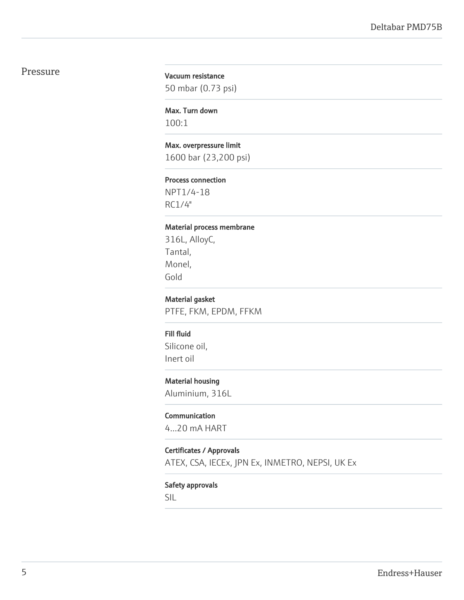### Pressure

### Vacuum resistance

50 mbar (0.73 psi)

Max. Turn down 100:1

#### Max. overpressure limit

1600 bar (23,200 psi)

#### Process connection

NPT1/4-18 RC1/4"

#### Material process membrane

316L, AlloyC, Tantal, Monel, Gold

### Material gasket

PTFE, FKM, EPDM, FFKM

#### Fill fluid

Silicone oil, Inert oil

### Material housing

Aluminium, 316L

#### Communication

4...20 mA HART

### Certificates / Approvals

ATEX, CSA, IECEx, JPN Ex, INMETRO, NEPSI, UK Ex

### Safety approvals

SIL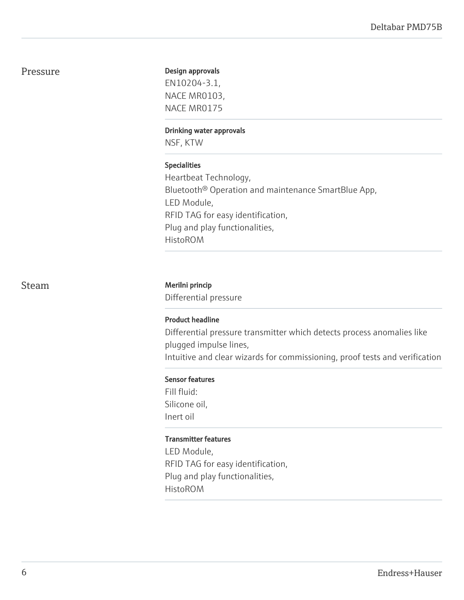### Pressure

### Design approvals

EN10204-3.1, NACE MR0103, NACE MR0175

### Drinking water approvals

NSF, KTW

### Specialities

Heartbeat Technology, Bluetooth® Operation and maintenance SmartBlue App, LED Module, RFID TAG for easy identification, Plug and play functionalities, HistoROM

### Steam Merilni princip

Differential pressure

### Product headline

Differential pressure transmitter which detects process anomalies like plugged impulse lines, Intuitive and clear wizards for commissioning, proof tests and verification

### Sensor features

Fill fluid: Silicone oil, Inert oil

### Transmitter features

LED Module, RFID TAG for easy identification, Plug and play functionalities, HistoROM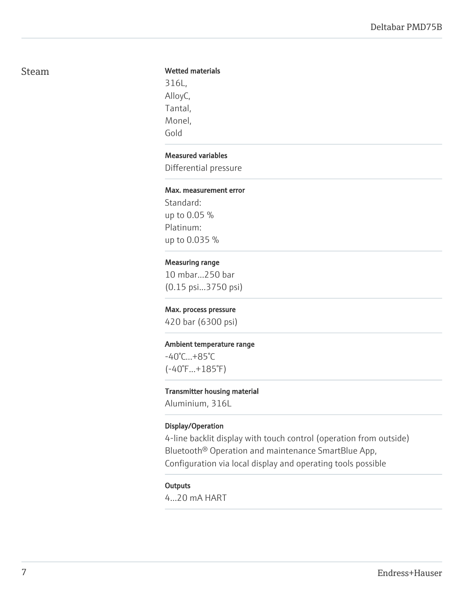### Steam

### Wetted materials

316L, AlloyC, Tantal, Monel, Gold

### Measured variables

Differential pressure

### Max. measurement error

Standard: up to 0.05 % Platinum: up to 0.035 %

### Measuring range

10 mbar...250 bar (0.15 psi...3750 psi)

### Max. process pressure

420 bar (6300 psi)

### Ambient temperature range

-40°C...+85°C (-40°F...+185°F)

#### Transmitter housing material

Aluminium, 316L

### Display/Operation

4-line backlit display with touch control (operation from outside) Bluetooth® Operation and maintenance SmartBlue App, Configuration via local display and operating tools possible

### **Outputs**

4...20 mA HART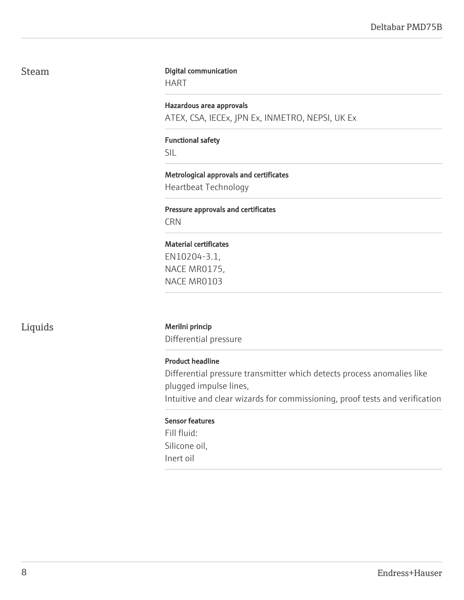### Steam

#### Digital communication

HART

Hazardous area approvals ATEX, CSA, IECEx, JPN Ex, INMETRO, NEPSI, UK Ex

### Functional safety

SIL

### Metrological approvals and certificates

Heartbeat Technology

### Pressure approvals and certificates **CRN**

### Material certificates

EN10204-3.1, NACE MR0175, NACE MR0103

### Liquids Merilni princip

Differential pressure

### Product headline

Differential pressure transmitter which detects process anomalies like plugged impulse lines,

Intuitive and clear wizards for commissioning, proof tests and verification

### Sensor features

Fill fluid: Silicone oil, Inert oil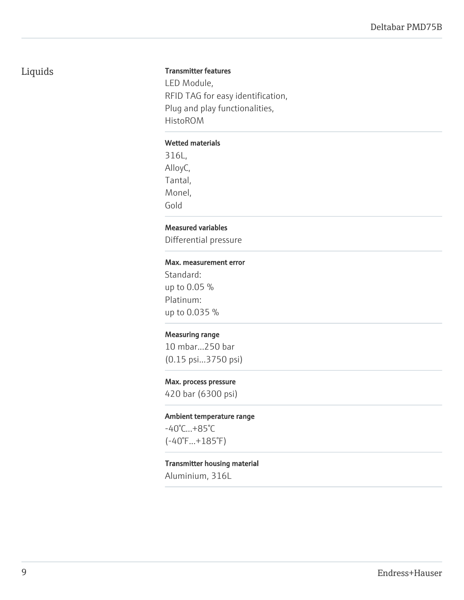### Liquids

### Transmitter features

LED Module, RFID TAG for easy identification, Plug and play functionalities, HistoROM

### Wetted materials

316L, AlloyC, Tantal, Monel, Gold

### Measured variables

Differential pressure

### Max. measurement error

Standard: up to 0.05 % Platinum: up to 0.035 %

### Measuring range

10 mbar...250 bar (0.15 psi...3750 psi)

### Max. process pressure

420 bar (6300 psi)

### Ambient temperature range

-40°C...+85°C (-40°F...+185°F)

### Transmitter housing material

Aluminium, 316L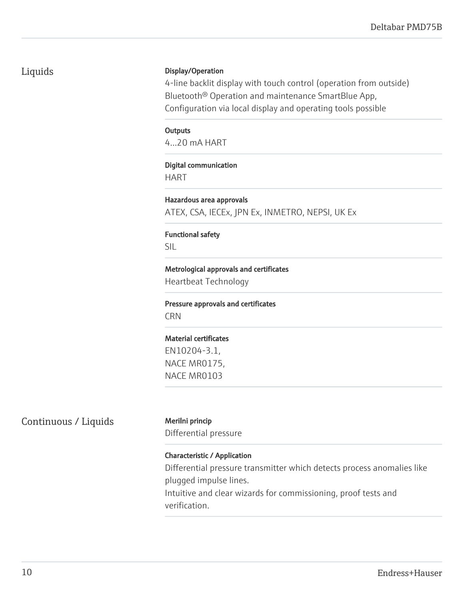### Deltabar PMD75B

### Liquids

### Display/Operation

4-line backlit display with touch control (operation from outside) Bluetooth® Operation and maintenance SmartBlue App, Configuration via local display and operating tools possible

### **Outputs**

4...20 mA HART

### Digital communication HART

Hazardous area approvals ATEX, CSA, IECEx, JPN Ex, INMETRO, NEPSI, UK Ex

## Functional safety

SIL

# Metrological approvals and certificates

Heartbeat Technology

### Pressure approvals and certificates CRN

### Material certificates

EN10204-3.1, NACE MR0175, NACE MR0103

## Continuous / Liquids Merilni princip

Differential pressure

### Characteristic / Application

Differential pressure transmitter which detects process anomalies like plugged impulse lines.

Intuitive and clear wizards for commissioning, proof tests and verification.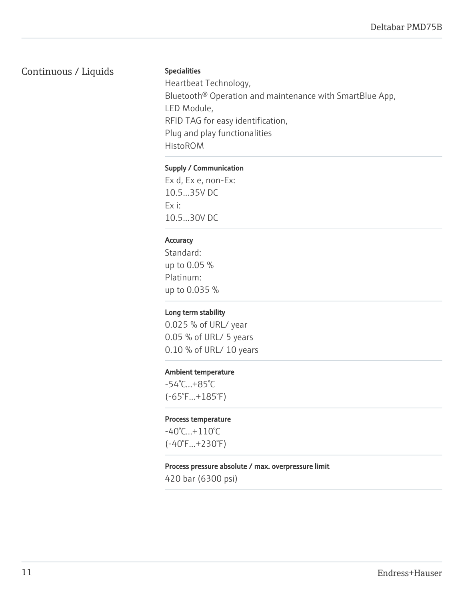### Continuous / Liquids

### Specialities

Heartbeat Technology, Bluetooth® Operation and maintenance with SmartBlue App, LED Module, RFID TAG for easy identification, Plug and play functionalities HistoROM

### Supply / Communication

Ex d, Ex e, non-Ex: 10.5...35V DC Ex i: 10.5...30V DC

### **Accuracy**

Standard: up to 0.05 % Platinum: up to 0.035 %

### Long term stability

0.025 % of URL/ year 0.05 % of URL/ 5 years 0.10 % of URL/ 10 years

### Ambient temperature

-54°C...+85°C (-65°F...+185°F)

### Process temperature

-40°C...+110°C (-40°F...+230°F)

### Process pressure absolute / max. overpressure limit

420 bar (6300 psi)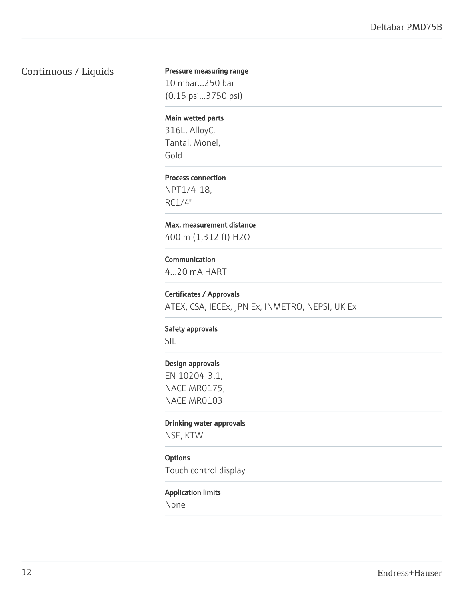### Continuous / Liquids

### Pressure measuring range

10 mbar...250 bar (0.15 psi...3750 psi)

### Main wetted parts

316L, AlloyC, Tantal, Monel, Gold

#### Process connection

NPT1/4-18, RC1/4"

### Max. measurement distance

400 m (1,312 ft) H2O

### Communication

4...20 mA HART

#### Certificates / Approvals

ATEX, CSA, IECEx, JPN Ex, INMETRO, NEPSI, UK Ex

#### Safety approvals

SIL

#### Design approvals

EN 10204-3.1, NACE MR0175, NACE MR0103

#### Drinking water approvals

NSF, KTW

### **Options**

Touch control display

#### Application limits

None